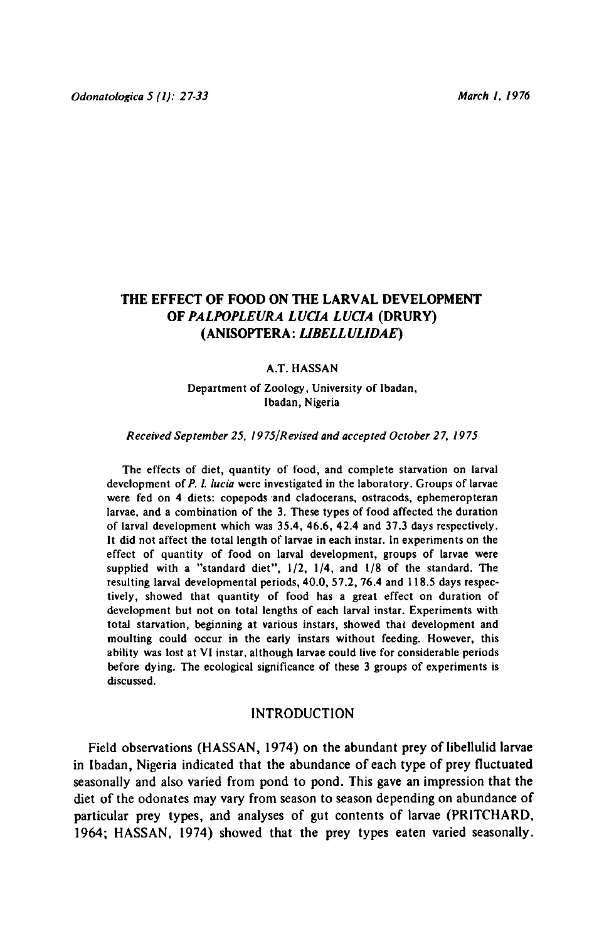# THE EFFECT OF FOOD ON THE LARVAL DEVELOPMENT OF PALPOPLEURA LUCIA LUCIA (DRURY) (Anisoptera: Libellulidae)

### A.T. Hassan

Department of Zoology, University of Ibadan, Ibadan, Nigeria

#### Received September 25, 1975/Revised and accepted October 27, <sup>1975</sup>

The effects of diet, quantity of food, and complete starvation on larval development of P. l. lucia were investigated in the laboratory. Groups of larvae were fed on 4 diets: copepods and cladocerans, ostracods, ephemeropteran larvae, and <sup>a</sup> combination of the 3, These types of food affected the duration of larval development which was 35.4, 46.6, 42.4 and 37.3 days respectively. It did not affect the total length of larvae in each instar. In experiments on the effect of quantity of food on larval development, groups of larvae were supplied with <sup>a</sup> "standard diet", 1/2, 1/4, and 1/8 of the standard. The resulting larval developmental periods, 40.0, 57.2, 76.4 and 118.5 days respectively, showed that quantity of food has <sup>a</sup> great effect on duration of development but not on total lengths of each larval instar. Experiments with total starvation, beginning at various instars, showed that development and moulting could occur in the early instars without feeding. However, this ability was lost at VI instar, although larvae could live for considerable periods before dying. The ecological significance of these <sup>3</sup> groups of experiments is discussed.

### INTRODUCTION

Field observations (HASSAN, 1974) on the abundant prey of libellulid larvae in Ibadan, Nigeria indicated that the abundance ofeach type of prey fluctuated seasonally and also varied from pond to pond. This gave an impression that the diet of the odonates may vary from season to season depending on abundance of particular prey types, and analyses of gut contents of larvae (PRITCHARD, 1964; HASSAN, 1974) showed that the prey types eaten varied seasonally.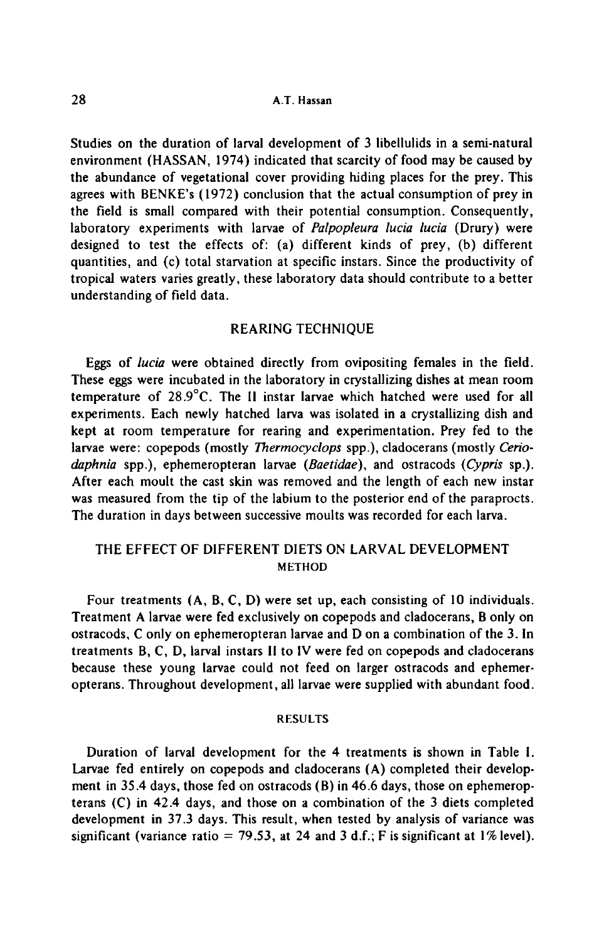Studies on the duration of larval development of <sup>3</sup> libellulids in <sup>a</sup> semi-natural environment (HASSAN, 1974) indicated that scarcity of food may be caused by the abundance of vegetational cover providing hiding places for the prey. This agrees with BENKE's (1972) conclusion that the actual consumption of prey in the field is small compared with their potential consumption. Consequently, laboratory experiments with larvae of Palpopleura lucia lucia (Drury) were designed to test the effects of: (a) different kinds of prey, (b) different quantities, and (c) total starvation at specific instars. Since the productivity of tropical waters varies greatly, these laboratory data should contribute to <sup>a</sup> better understanding of field data.

### REARING TECHNIQUE

Eggs of lucia were obtained directly from ovipositing females in the field. These eggs were incubated in the laboratory in crystallizing dishes at mean room temperature of 28.9°C. The II instar larvae which hatched were used for all experiments. Each newly hatched larva was isolated in <sup>a</sup> crystallizing dish and kept at room temperature for rearing and experimentation. Prey fed to the larvae were; copepods (mostly *Thermocyclops* spp.), cladocerans (mostly Ceriodaphnia spp.), ephemeropteran larvae (Baetidae), and ostracods (Cypris sp.). After each moult the cast skin was removed and the length of each new instar was measured from the tip of the labium to the posterior end of the paraprocts. The duration in days between successive moults was recorded for each larva.

## THE EFFECT OF DIFFERENT DIETS ON LARVAL DEVELOPMENT **METHOD**

Four treatments (A, B. C, D) were set up, each consisting of <sup>10</sup> individuals. Treatment A larvae were fed exclusively on copepods and cladocerans, B only on ostracods, C only on ephemeropteran larvae and D on a combination of the 3. In treatments B, C, D, larval instars II to IV were fed on copepods and cladocerans because these young larvae could not feed on larger ostracods and ephemeropterans. Throughout development, all larvae were supplied with abundant food.

#### RESULTS

Duration of larval development for the 4 treatments is shown in Table I. Larvae fed entirely on copepods and cladocerans (A) completed their development in 35.4 days, those fed on ostracods (B) in 46.6 days, those on ephemeropterans (C) in 42.4 days, and those on <sup>a</sup> combination of the <sup>3</sup> diets completed development in 37.3 days. This result, when tested by analysis of variance was significant (variance ratio = 79.53, at 24 and 3 d.f.; F is significant at 1% level).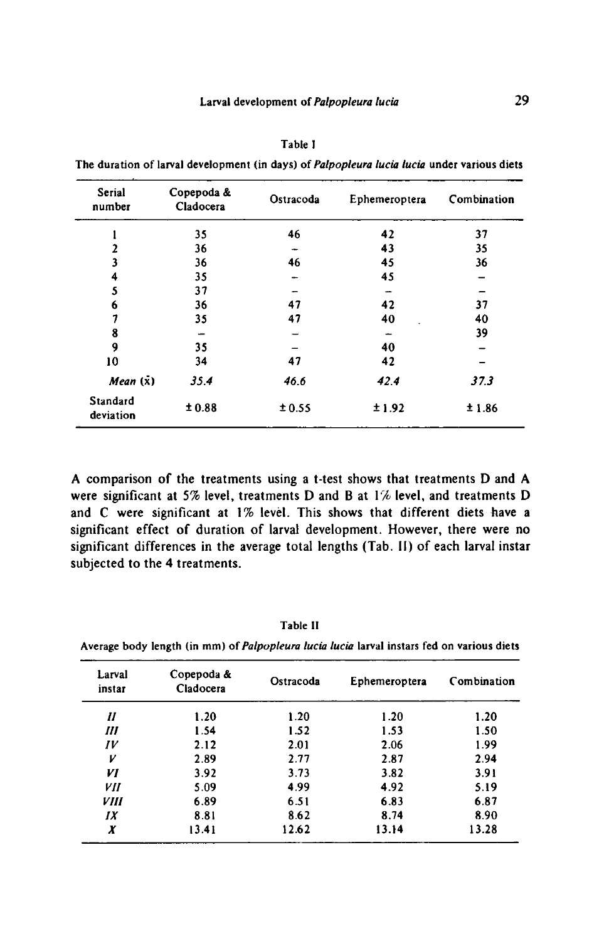| I<br>I<br>I |  |
|-------------|--|
|-------------|--|

The duration of larval development (in days) of Palpopleura lucia lucia under various diets

| Serial<br>number      | Copepoda &<br>Cladocera | Ostracoda | Ephemeroptera | Combination |  |
|-----------------------|-------------------------|-----------|---------------|-------------|--|
|                       | 35                      | 46        | 42            | 37          |  |
| $\overline{2}$        | 36                      |           | 43            | 35          |  |
| 3                     | 36                      | 46        | 45            | 36          |  |
| 4                     | 35                      |           | 45            |             |  |
| 5                     | 37                      |           |               |             |  |
| 6                     | 36                      | 47        | 42            | 37          |  |
| 7                     | 35                      | 47        | 40            | 40          |  |
| 8                     |                         |           | -             | 39          |  |
| 9                     | 35                      |           | 40            |             |  |
| 10                    | 34                      | 47        | 42            |             |  |
| Mean(x)               | 35.4                    | 46.6      | 42.4          | 37.3        |  |
| Standard<br>deviation | ±0.88                   | ±0.55     | ±1.92         | ±1.86       |  |

A comparison of the treatments using <sup>a</sup> t-test shows that treatments <sup>D</sup> and A were significant at 5% level, treatments D and B at 1% level, and treatments D and <sup>C</sup> were significant at 1% level. This shows that different diets have <sup>a</sup> significant effect of duration of larval development. However, there were no significant differences in the average total lengths (Tab. II) of each larval instar subjected to the 4 treatments.

Table II

| Larval<br>instar   | Copepoda &<br>Cladocera | Ostracoda |       | Combination |  |
|--------------------|-------------------------|-----------|-------|-------------|--|
| 11                 | 1.20                    | 1.20      | 1.20  | 1.20        |  |
| Ш                  | 1.54                    | 1.52      | 1.53  | 1.50        |  |
| IV                 | 2.12                    | 2.01      | 2.06  | 1.99        |  |
| V                  | 2.89                    | 2.77      | 2.87  | 2.94        |  |
| VI                 | 3.92                    | 3.73      | 3.82  | 3.91        |  |
| VII                | 5.09                    | 4.99      | 4.92  | 5.19        |  |
| <i><b>VIII</b></i> | 6.89                    | 6.51      | 6.83  | 6.87        |  |
| IX                 | 8.81                    | 8.62      | 8.74  | 8.90        |  |
| X                  | 13.41                   | 12.62     | 13.14 | 13.28       |  |

Average body length (in mm) of Palpopleura lucia lucia larval instars fed on various diets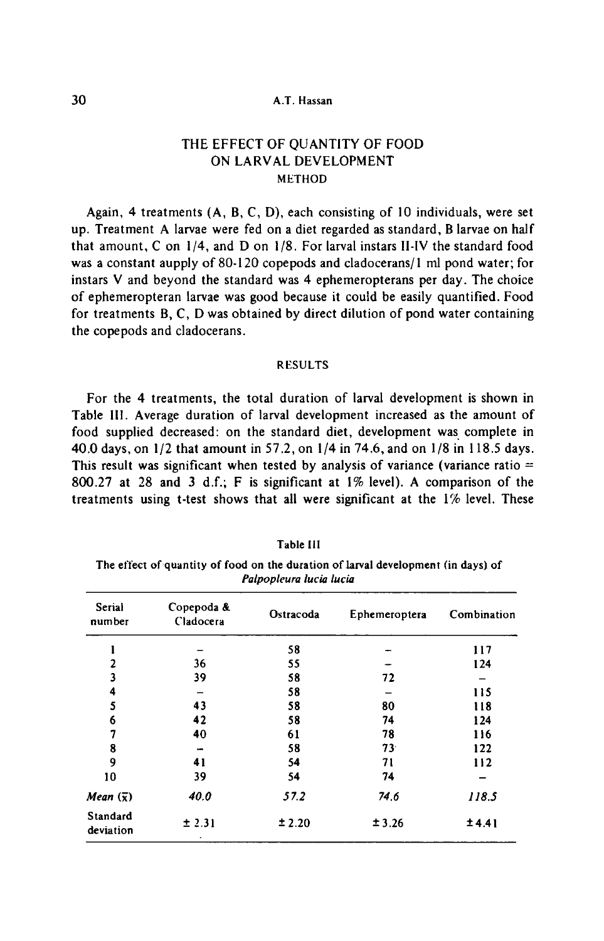## 30 **A.T. Hassan**

# THE EFFECT OF QUANTITY OF FOOD ON LARVAL DEVELOPMENT **METHOD**

Again, <sup>4</sup> treatments (A, B, C, D), each consisting of <sup>10</sup> individuals, were set up. Treatment <sup>A</sup> larvae were fed on <sup>a</sup> diet regarded as standard, <sup>B</sup> larvae on half that amount, <sup>C</sup> on 1/4, and <sup>D</sup> on 1/8. For larval instars ll-IV the standard food was a constant aupply of 80-120 copepods and cladocerans/1 ml pond water; for instars V and beyond the standard was <sup>4</sup> ephemeropterans per day. The choice of ephemeropteran larvae was good because it could be easily quantified. Food for treatments B, C, D was obtained by direct dilution of pond water containing the copepods and cladocerans.

#### RESULTS

For the 4 treatments, the total duration of larval development is shown in Table III. Average duration of larval development increased as the amount of food supplied decreased: on the standard diet, development was complete in 40.0 days, on 1/2 that amount in 57.2, on 1/4 in 74.6, and on 1/8 in 118.5 days. This result was significant when tested by analysis of variance (variance ratio  $=$ 800.27 at <sup>28</sup> and <sup>3</sup> d.f; <sup>F</sup> is significant at 1% level). A comparison of the treatments using t-test shows that all were significant at the 1% level. These

| Palpopleura lucia lucia |                         |           |                 |             |  |  |  |
|-------------------------|-------------------------|-----------|-----------------|-------------|--|--|--|
| <b>Serial</b><br>number | Copepoda &<br>Cladocera | Ostracoda | Ephemeroptera   | Combination |  |  |  |
|                         |                         | 58        |                 | 117         |  |  |  |
|                         | 36                      | 55        |                 | 124         |  |  |  |
|                         | 39                      | 58        | 72              |             |  |  |  |
|                         |                         | 58        |                 | 115         |  |  |  |
|                         | 43                      | 58        | 80              | 118         |  |  |  |
| 6                       | 42                      | 58        | 74              | 124         |  |  |  |
|                         | 40                      | 61        | 78              | 116         |  |  |  |
| 8                       |                         | 58        | 73 <sup>°</sup> | 122         |  |  |  |
|                         | 41                      | 54        | 71              | 112         |  |  |  |

 $10$   $39$   $54$   $74$   $Mean\ (\bar{x})$  40.0 57.2 74.6 118.5

 $\pm 3.26$   $\pm 4.41$ 

 $\pm 2.31$   $\pm 2.20$ 

## Table III

The effect of quantity of food on the duration of larval development (in days) of

deviation

Standard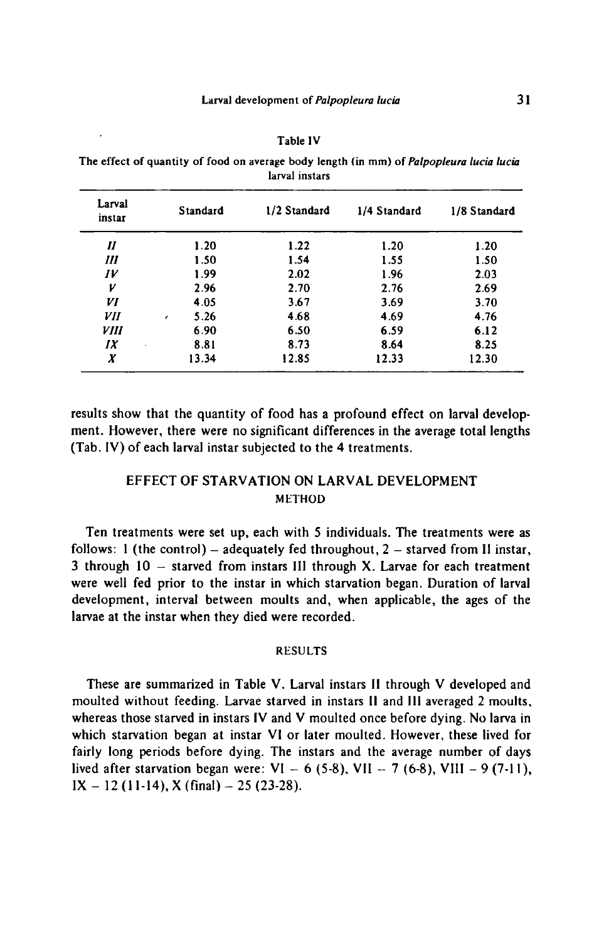| <b>Table IV</b> |  |
|-----------------|--|
|                 |  |

The effect of quantity of food on average body length (in mm) of Palpopleura lucia lucia larval instars

| Larval<br>instar   | Standard           | 1/2 Standard | 1/4 Standard | 1/8 Standard<br>1.20 |  |
|--------------------|--------------------|--------------|--------------|----------------------|--|
| П                  | 1.20               | 1.22         | 1.20         |                      |  |
| Ш                  | 1.50               | 1.54         | 1.55         | 1.50                 |  |
| $I\mathcal{V}$     | 1.99               | 2.02         | 1.96         | 2.03                 |  |
| V                  | 2.96               | 2.70         | 2.76         | 2.69                 |  |
| VI                 | 4.05               | 3.67         | 3.69         | 3.70                 |  |
| VII                | 5.26<br>$\epsilon$ | 4.68         | 4.69         | 4.76                 |  |
| <i><b>VIII</b></i> | 6.90               | 6.50         | 6.59         | 6.12                 |  |
| IX                 | 8.81               | 8.73         | 8.64         | 8.25                 |  |
| X                  | 13.34              | 12.85        | 12.33        | 12.30                |  |

results show that the quantity of food has <sup>a</sup> profound effect on larval development. However, there were no significant differences in the average total lengths (Tab. IV) of each larval instar subjected to the 4 treatments.

# EFFECT OF STARVATION ON LARVAL DEVELOPMENT **METHOD**

Ten treatments were set up, each with <sup>5</sup> individuals. The treatments were as follows: 1 (the control) – adequately fed throughout,  $2 -$  starved from II instar, 3 through  $10 -$  starved from instars III through X. Larvae for each treatment were well fed prior to the instar in which starvation began. Duration of larval development, interval between moults and, when applicable, the ages of the larvae at the instar when they died were recorded.

#### RESULTS

These are summarized in Table V. Larval instars II through V developed and moulted without feeding. Larvae starved in instars II and III averaged <sup>2</sup> moults, whereas those starved in instars IV and V moulted once before dying. No larva in which starvation began at instar VI or later moulted. However, these lived for fairly long periods before dying. The instars and the average number of days lived after starvation began were:  $VI - 6$  (5-8), VII - 7 (6-8), VIII - 9 (7-11),  $IX - 12(11-14)$ ,  $X$  (final)  $- 25(23-28)$ .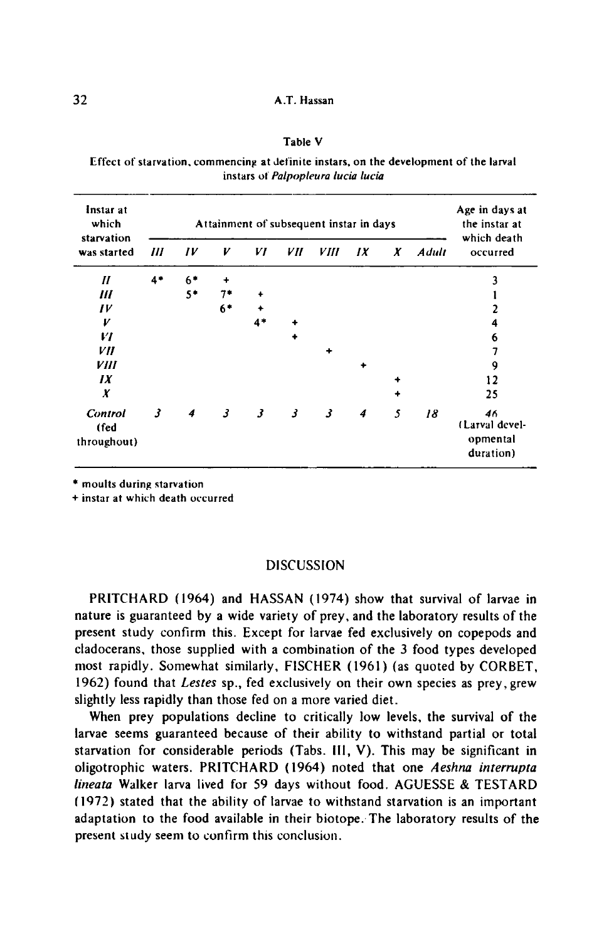#### Table V

Effect of starvation, commencing at definite instars, on the developmentof the larval instars of Palpopleura lucia lucia

| Instar at<br>which<br>starvation |      | Attainment of subsequent instar in days |      |                         |    |             |    |   | Age in days at<br>the instar at<br>which death |                                               |
|----------------------------------|------|-----------------------------------------|------|-------------------------|----|-------------|----|---|------------------------------------------------|-----------------------------------------------|
| was started                      | Ш    | IV                                      | V    | VI                      | VН | <i>VIII</i> | IX | X | <b>Adult</b>                                   | occurred                                      |
| $\boldsymbol{H}$                 | $4*$ | $6*$                                    |      |                         |    |             |    |   |                                                |                                               |
| Ш                                |      | $5*$                                    | 7*   |                         |    |             |    |   |                                                |                                               |
| $_{IV}$                          |      |                                         | $6*$ |                         |    |             |    |   |                                                |                                               |
| V                                |      |                                         |      | $4*$                    |    |             |    |   |                                                | 4                                             |
| VI                               |      |                                         |      |                         |    |             |    |   |                                                | 6                                             |
| VII                              |      |                                         |      |                         |    | ٠           |    |   |                                                | 7                                             |
| VIII                             |      |                                         |      |                         |    |             | ۰  |   |                                                | 9                                             |
| IX                               |      |                                         |      |                         |    |             |    |   |                                                | 12                                            |
| X                                |      |                                         |      |                         |    |             |    |   |                                                | 25                                            |
| Control<br>(fed<br>throughout)   | 3    | 4                                       | 3    | $\overline{\mathbf{3}}$ | 3  | 3           | 4  | 5 | 18                                             | 46<br>(Larval devel-<br>opmental<br>duration) |

\* moults during starvation

+ instar at which death occurred

### **DISCUSSION**

PRITCHARD (1964) and HASSAN (1974) show that survival of larvae in nature is guaranteed by <sup>a</sup> wide variety of prey, and the laboratory results of the present study confirm this. Except for larvae fed exclusively on copepods and cladocerans, those supplied with <sup>a</sup> combination of the <sup>3</sup> food types developed most rapidly. Somewhat similarly, FISCHER (1961) (as quoted by CORBET, 1962) found that Lestes sp., fed exclusively on their own species as prey, grew slightly less rapidly than those fed on <sup>a</sup> more varied diet.

When prey populations decline to critically low levels, the survival of the larvae seems guaranteed because of their ability to withstand partial or total starvation for considerable periods (Tabs. Ill, V). This may be significant in oligotrophic waters. PRITCHARD (1964) noted that one Aeshna interrupta lineata Walker larva lived for 59 days without food. AGUESSE & TESTARD (1972) stated that the ability of larvae to withstand starvation is an important adaptation to the food available in their biotope. The laboratory results of the present study seem to confirm this conclusion.